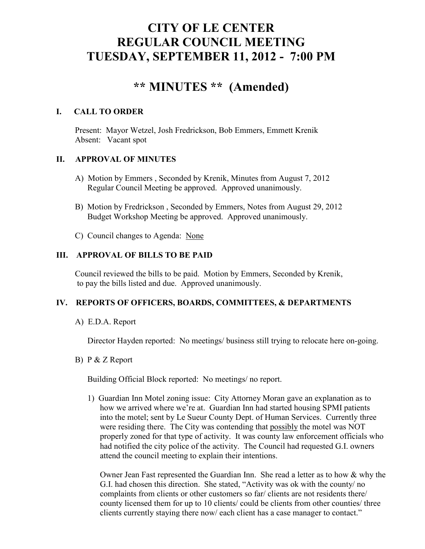# **CITY OF LE CENTER REGULAR COUNCIL MEETING TUESDAY, SEPTEMBER 11, 2012 - 7:00 PM**

# **\*\* MINUTES \*\* (Amended)**

# **I. CALL TO ORDER**

Present: Mayor Wetzel, Josh Fredrickson, Bob Emmers, Emmett Krenik Absent: Vacant spot

# **II. APPROVAL OF MINUTES**

- A) Motion by Emmers , Seconded by Krenik, Minutes from August 7, 2012 Regular Council Meeting be approved. Approved unanimously.
- B) Motion by Fredrickson , Seconded by Emmers, Notes from August 29, 2012 Budget Workshop Meeting be approved. Approved unanimously.
- C) Council changes to Agenda: None

### **III. APPROVAL OF BILLS TO BE PAID**

Council reviewed the bills to be paid. Motion by Emmers, Seconded by Krenik, to pay the bills listed and due. Approved unanimously.

# **IV. REPORTS OF OFFICERS, BOARDS, COMMITTEES, & DEPARTMENTS**

A) E.D.A. Report

Director Hayden reported: No meetings/ business still trying to relocate here on-going.

B) P & Z Report

Building Official Block reported: No meetings/ no report.

 1) Guardian Inn Motel zoning issue: City Attorney Moran gave an explanation as to how we arrived where we're at. Guardian Inn had started housing SPMI patients into the motel; sent by Le Sueur County Dept. of Human Services. Currently three were residing there. The City was contending that possibly the motel was NOT properly zoned for that type of activity. It was county law enforcement officials who had notified the city police of the activity. The Council had requested G.I. owners attend the council meeting to explain their intentions.

 Owner Jean Fast represented the Guardian Inn. She read a letter as to how & why the G.I. had chosen this direction. She stated, "Activity was ok with the county/ no complaints from clients or other customers so far/ clients are not residents there/ county licensed them for up to 10 clients/ could be clients from other counties/ three clients currently staying there now/ each client has a case manager to contact."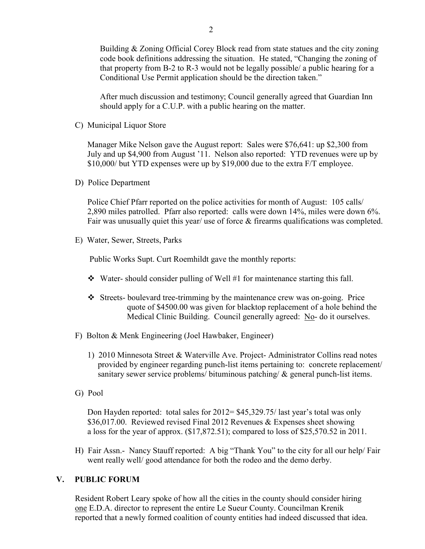Building & Zoning Official Corey Block read from state statues and the city zoning code book definitions addressing the situation. He stated, "Changing the zoning of that property from B-2 to R-3 would not be legally possible/ a public hearing for a Conditional Use Permit application should be the direction taken."

 After much discussion and testimony; Council generally agreed that Guardian Inn should apply for a C.U.P. with a public hearing on the matter.

C) Municipal Liquor Store

Manager Mike Nelson gave the August report: Sales were \$76,641: up \$2,300 from July and up \$4,900 from August '11. Nelson also reported: YTD revenues were up by \$10,000/ but YTD expenses were up by \$19,000 due to the extra F/T employee.

D) Police Department

Police Chief Pfarr reported on the police activities for month of August: 105 calls/ 2,890 miles patrolled. Pfarr also reported: calls were down 14%, miles were down 6%. Fair was unusually quiet this year/ use of force & firearms qualifications was completed.

E) Water, Sewer, Streets, Parks

Public Works Supt. Curt Roemhildt gave the monthly reports:

- $\bullet$  Water-should consider pulling of Well #1 for maintenance starting this fall.
- Streets- boulevard tree-trimming by the maintenance crew was on-going. Price quote of \$4500.00 was given for blacktop replacement of a hole behind the Medical Clinic Building. Council generally agreed: No- do it ourselves.
- F) Bolton & Menk Engineering (Joel Hawbaker, Engineer)
	- 1) 2010 Minnesota Street & Waterville Ave. Project- Administrator Collins read notes provided by engineer regarding punch-list items pertaining to: concrete replacement/ sanitary sewer service problems/ bituminous patching/  $\&$  general punch-list items.
- G) Pool

 Don Hayden reported: total sales for 2012= \$45,329.75/ last year's total was only \$36,017.00. Reviewed revised Final 2012 Revenues & Expenses sheet showing a loss for the year of approx. (\$17,872.51); compared to loss of \$25,570.52 in 2011.

H) Fair Assn.- Nancy Stauff reported: A big "Thank You" to the city for all our help/ Fair went really well/ good attendance for both the rodeo and the demo derby.

#### **V. PUBLIC FORUM**

 Resident Robert Leary spoke of how all the cities in the county should consider hiring one E.D.A. director to represent the entire Le Sueur County. Councilman Krenik reported that a newly formed coalition of county entities had indeed discussed that idea.